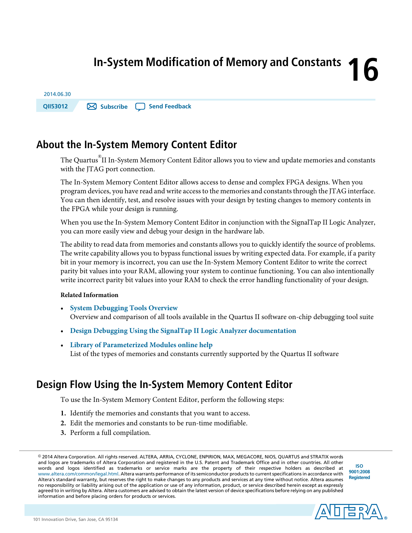# **16 In-System Modification of Memory and Constants**

| <b>OII53012</b> | Subscribe   Send Feedback |
|-----------------|---------------------------|
| 2014.06.30      |                           |

# **About the In-System Memory Content Editor**

The Quartus® II In-System Memory Content Editor allows you to view and update memories and constants with the JTAG port connection.

The In-System Memory Content Editor allows access to dense and complex FPGA designs. When you program devices, you have read and write access to the memories and constants through the JTAG interface. You can then identify, test, and resolve issues with your design by testing changes to memory contents in the FPGA while your design is running.

When you use the In-System Memory Content Editor in conjunction with the SignalTap II Logic Analyzer, you can more easily view and debug your design in the hardware lab.

The ability to read data from memories and constants allows you to quickly identify the source of problems. The write capability allows you to bypass functional issues by writing expected data. For example, if a parity bit in your memory is incorrect, you can use the In-System Memory Content Editor to write the correct parity bit values into your RAM, allowing your system to continue functioning. You can also intentionally write incorrect parity bit values into your RAM to check the error handling functionality of your design.

#### **Related Information**

- **System [Debugging](http://www.altera.com/literature/hb/qts/qts_qii53027.pdf) Tools Overview** Overview and comparison of all tools available in the Quartus II software on-chip debugging tool suite
- **Design Debugging Using the SignalTap II Logic Analyzer [documentation](http://www.altera.com/literature/hb/qts/qts_qii53009.pdf)**
- **Library of [Parameterized](http://quartushelp.altera.com/current/master.htm#mergedProjects/hdl/mega/mega_list_mega_lpm.htm) Modules online help** List of the types of memories and constants currently supported by the Quartus II software

# **Design Flow Using the In-System Memory Content Editor**

To use the In-System Memory Content Editor, perform the following steps:

- **1.** Identify the memories and constants that you want to access.
- **2.** Edit the memories and constants to be run-time modifiable.
- **3.** Perform a full compilation.

**[ISO](http://www.altera.com/support/devices/reliability/certifications/rel-certifications.html) [9001:2008](http://www.altera.com/support/devices/reliability/certifications/rel-certifications.html) [Registered](http://www.altera.com/support/devices/reliability/certifications/rel-certifications.html)**



<sup>©</sup> 2014 Altera Corporation. All rights reserved. ALTERA, ARRIA, CYCLONE, ENPIRION, MAX, MEGACORE, NIOS, QUARTUS and STRATIX words and logos are trademarks of Altera Corporation and registered in the U.S. Patent and Trademark Office and in other countries. All other words and logos identified as trademarks or service marks are the property of their respective holders as described at www.altera.com/common/legal.html. Altera warrants performance of its semiconductor products to current specifications in accordance with Altera's standard warranty, but reserves the right to make changes to any products and services at any time without notice. Altera assumes no responsibility or liability arising out of the application or use of any information, product, or service described herein except as expressly agreed to in writing by Altera. Altera customers are advised to obtain the latest version of device specifications before relying on any published information and before placing orders for products or services.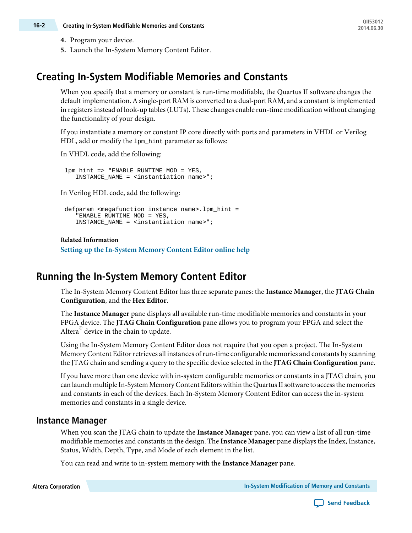- **4.** Program your device.
- **5.** Launch the In-System Memory Content Editor.

## **Creating In-System Modifiable Memories and Constants**

When you specify that a memory or constant is run-time modifiable, the Quartus II software changes the default implementation. A single-port RAM is converted to a dual-port RAM, and a constant is implemented in registers instead of look-up tables (LUTs). These changes enable run-time modification without changing the functionality of your design.

If you instantiate a memory or constant IP core directly with ports and parameters in VHDL or Verilog HDL, add or modify the lpm\_hint parameter as follows:

In VHDL code, add the following:

lpm\_hint => "ENABLE\_RUNTIME\_MOD = YES, INSTANCE\_NAME = <instantiation name>";

In Verilog HDL code, add the following:

```
defparam <megafunction instance name>.lpm_hint =
    "ENABLE_RUNTIME_MOD = YES,
    INSTANCE_NAME = <instantiation name>";
```
#### **Related Information**

**Setting up the [In-System](http://quartushelp.altera.com/current/master.htm#mergedProjects/program/red/red_pro_open_editor.htm) Memory Content Editor online help**

# **Running the In-System Memory Content Editor**

The In-System Memory Content Editor has three separate panes: the **Instance Manager**, the **JTAG Chain Configuration**, and the **Hex Editor**.

The **Instance Manager** pane displays all available run-time modifiable memories and constants in your FPGA device. The **JTAG Chain Configuration** pane allows you to program your FPGA and select the Altera<sup>®</sup> device in the chain to update.

Using the In-System Memory Content Editor does not require that you open a project. The In-System Memory Content Editor retrieves all instances of run-time configurable memories and constants by scanning the JTAG chain and sending a query to the specific device selected in the **JTAG Chain Configuration** pane.

If you have more than one device with in-system configurable memories or constants in a JTAG chain, you can launch multiple In-System Memory Content Editors within the Quartus II software to access the memories and constants in each of the devices. Each In-System Memory Content Editor can access the in-system memories and constants in a single device.

#### **Instance Manager**

When you scan the JTAG chain to update the **Instance Manager** pane, you can view a list of all run-time modifiable memories and constants in the design. The **Instance Manager** pane displays the Index, Instance, Status, Width, Depth, Type, and Mode of each element in the list.

You can read and write to in-system memory with the **Instance Manager** pane.

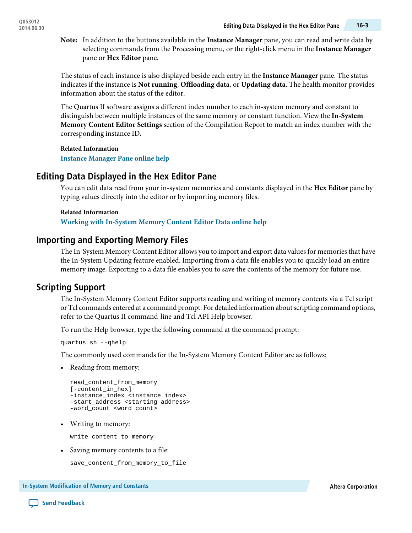In addition to the buttons available in the **Instance Manager** pane, you can read and write data by **Note:** selecting commands from the Processing menu, or the right-click menu in the **Instance Manager** pane or **Hex Editor** pane.

The status of each instance is also displayed beside each entry in the **Instance Manager** pane. The status indicates if the instance is **Not running**, **Offloading data**, or **Updating data**. The health monitor provides information about the status of the editor.

The Quartus II software assigns a different index number to each in-system memory and constant to distinguish between multiple instances of the same memory or constant function. View the **In-System Memory Content Editor Settings** section of the Compilation Report to match an index number with the corresponding instance ID.

**Related Information**

**Instance [Manager](http://quartushelp.altera.com/current/master.htm#mergedProjects/program/red/red_com_instance_manager.htm) Pane online help**

## **Editing Data Displayed in the Hex Editor Pane**

You can edit data read from your in-system memories and constants displayed in the **Hex Editor** pane by typing values directly into the editor or by importing memory files.

# **Related Information**

**Working with [In-System](http://quartushelp.altera.com/current/master.htm#mergedProjects/program/red/red_pro_import_export.htm) Memory Content Editor Data online help**

## **Importing and Exporting Memory Files**

The In-System Memory Content Editor allows you to import and export data values for memories that have the In-System Updating feature enabled. Importing from a data file enables you to quickly load an entire memory image. Exporting to a data file enables you to save the contents of the memory for future use.

## **Scripting Support**

The In-System Memory Content Editor supports reading and writing of memory contents via a Tcl script or Tcl commands entered at a command prompt. For detailed information aboutscripting command options, refer to the Quartus II command-line and Tcl API Help browser.

To run the Help browser, type the following command at the command prompt:

quartus\_sh --qhelp

The commonly used commands for the In-System Memory Content Editor are as follows:

• Reading from memory:

```
read_content_from_memory
[-content_in_hex]
-instance_index <instance index>
-start_address <starting address>
-word_count <word count>
```
• Writing to memory:

write\_content\_to\_memory

• Saving memory contents to a file:

save\_content\_from\_memory\_to\_file

**In-System Modification of Memory and Constants Altera Corporation**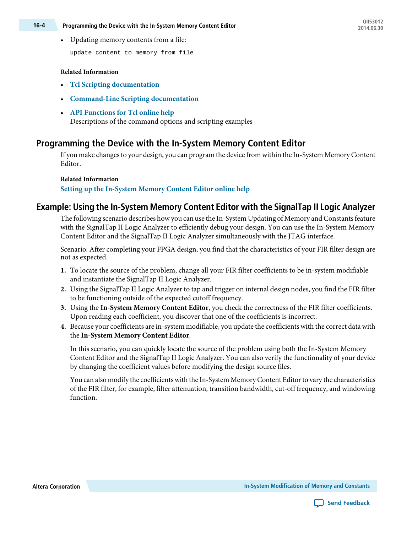• Updating memory contents from a file:

update\_content\_to\_memory\_from\_file

#### **Related Information**

- **Tcl Scripting [documentation](http://www.altera.com/literature/hb/qts/qts_qii52003.pdf)**
- **[Command-Line](http://www.altera.com/literature/hb/qts/qts_qii52002.pdf) Scripting documentation**
- **API [Functions](http://quartushelp.altera.com/current/master.htm#mergedProjects/tafs/tafs/tcl_list_of_packages.htm) for Tcl online help** Descriptions of the command options and scripting examples

## **Programming the Device with the In-System Memory Content Editor**

If you make changesto your design, you can program the device from within the In-System Memory Content Editor.

#### **Related Information**

**Setting up the [In-System](http://quartushelp.altera.com/current/master.htm#mergedProjects/program/red/red_pro_open_editor.htm) Memory Content Editor online help**

## **Example: Using the In-System Memory Content Editor with the SignalTap II Logic Analyzer**

The following scenario describes how you can use the In-System Updating of Memory and Constants feature with the SignalTap II Logic Analyzer to efficiently debug your design. You can use the In-System Memory Content Editor and the SignalTap II Logic Analyzer simultaneously with the JTAG interface.

Scenario: After completing your FPGA design, you find that the characteristics of your FIR filter design are not as expected.

- **1.** To locate the source of the problem, change all your FIR filter coefficients to be in-system modifiable and instantiate the SignalTap II Logic Analyzer.
- **2.** Using the SignalTap II Logic Analyzer to tap and trigger on internal design nodes, you find the FIR filter to be functioning outside of the expected cutoff frequency.
- **3.** Using the **In-System Memory Content Editor**, you check the correctness of the FIR filter coefficients. Upon reading each coefficient, you discover that one of the coefficients is incorrect.
- **4.** Because your coefficients are in-system modifiable, you update the coefficients with the correct data with the **In-System Memory Content Editor**.

In this scenario, you can quickly locate the source of the problem using both the In-System Memory Content Editor and the SignalTap II Logic Analyzer. You can also verify the functionality of your device by changing the coefficient values before modifying the design source files.

You can also modify the coefficients with the In-System Memory Content Editor to vary the characteristics of the FIR filter, for example, filter attenuation, transition bandwidth, cut-off frequency, and windowing function.